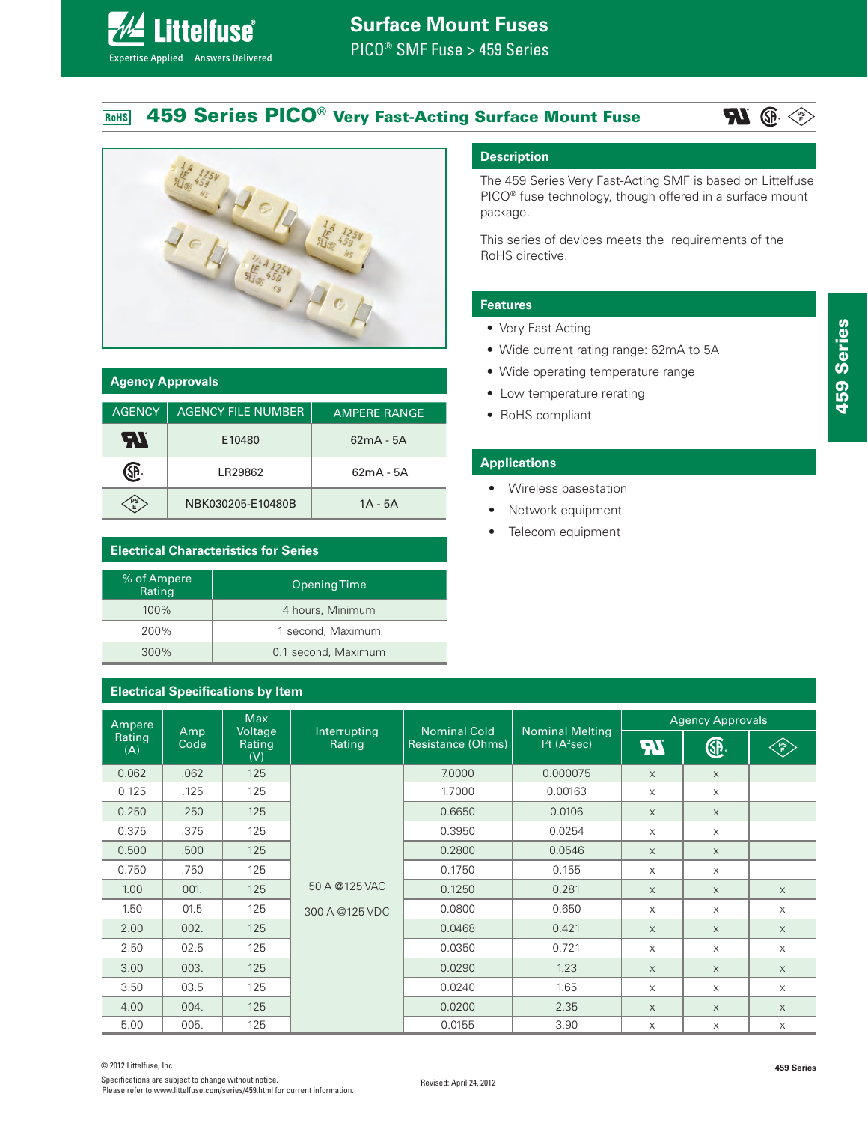#### **459 Series PICO® Very Fast-Acting Surface Mount Fuse** RoHS





**Littelfuse**®

Expertise Applied | Answers Delivered

| <b>Agency Approvals</b> |                           |                     |  |
|-------------------------|---------------------------|---------------------|--|
| <b>AGENCY</b>           | <b>AGENCY FILE NUMBER</b> | <b>AMPERE RANGE</b> |  |
| AV                      | E10480                    | $62mA - 5A$         |  |
|                         | LR29862                   | $62mA - 5A$         |  |
| 멸                       | NBK030205-E10480B         | $1A - 5A$           |  |

# **Electrical Characteristics for Series**

| % of Ampere<br>Rating | <b>Opening Time</b> |
|-----------------------|---------------------|
| 100%                  | 4 hours, Minimum    |
| 200%                  | 1 second, Maximum   |
| 300%                  | 0.1 second, Maximum |

#### **Description**

The 459 Series Very Fast-Acting SMF is based on Littelfuse PICO<sup>®</sup> fuse technology, though offered in a surface mount package.

This series of devices meets the requirements of the RoHS directive.

# **Features**

- Very Fast-Acting
- Wide current rating range: 62mA to 5A
- Wide operating temperature range
- Low temperature rerating
- RoHS compliant

#### **Applications**

- Wireless basestation
- Network equipment
- Telecom equipment

| <b>Electrical Specifications by Item</b> |      |                          |                        |                     |                                                      |                         |          |            |
|------------------------------------------|------|--------------------------|------------------------|---------------------|------------------------------------------------------|-------------------------|----------|------------|
| Ampere<br>Amp                            |      | <b>Max</b>               |                        | <b>Nominal Cold</b> |                                                      | <b>Agency Approvals</b> |          |            |
| Rating<br>(A)                            | Code | Voltage<br>Rating<br>(V) | Interrupting<br>Rating | Resistance (Ohms)   | <b>Nominal Melting</b><br>$I2t$ (A <sup>2</sup> sec) | $\boldsymbol{E}$        | <b>A</b> | ∕p§∕<br>√E |
| 0.062                                    | .062 | 125                      |                        | 7.0000              | 0.000075                                             | $\mathsf X$             | $\times$ |            |
| 0.125                                    | .125 | 125                      |                        | 1.7000              | 0.00163                                              | $\times$                | $\times$ |            |
| 0.250                                    | .250 | 125                      |                        | 0.6650              | 0.0106                                               | $\times$                | $\times$ |            |
| 0.375                                    | .375 | 125                      |                        | 0.3950              | 0.0254                                               | $\times$                | $\times$ |            |
| 0.500                                    | .500 | 125                      |                        | 0.2800              | 0.0546                                               | $\times$                | $\times$ |            |
| 0.750                                    | .750 | 125                      |                        | 0.1750              | 0.155                                                | $\times$                | $\times$ |            |
| 1.00                                     | 001. | 125                      | 50 A @125 VAC          | 0.1250              | 0.281                                                | $\times$                | $\times$ | $\times$   |
| 1.50                                     | 01.5 | 125                      | 300 A @125 VDC         | 0.0800              | 0.650                                                | $\times$                | $\times$ | $\times$   |
| 2.00                                     | 002. | 125                      |                        | 0.0468              | 0.421                                                | $\times$                | $\times$ | $\times$   |
| 2.50                                     | 02.5 | 125                      |                        | 0.0350              | 0.721                                                | $\times$                | $\times$ | $\times$   |
| 3.00                                     | 003. | 125                      |                        | 0.0290              | 1.23                                                 | $\times$                | $\times$ | $\times$   |
| 3.50                                     | 03.5 | 125                      |                        | 0.0240              | 1.65                                                 | $\times$                | $\times$ | $\times$   |
| 4.00                                     | 004. | 125                      |                        | 0.0200              | 2.35                                                 | $\mathsf X$             | $\times$ | $\times$   |
| 5.00                                     | 005. | 125                      |                        | 0.0155              | 3.90                                                 | X                       | X        | $\times$   |

**459 Series**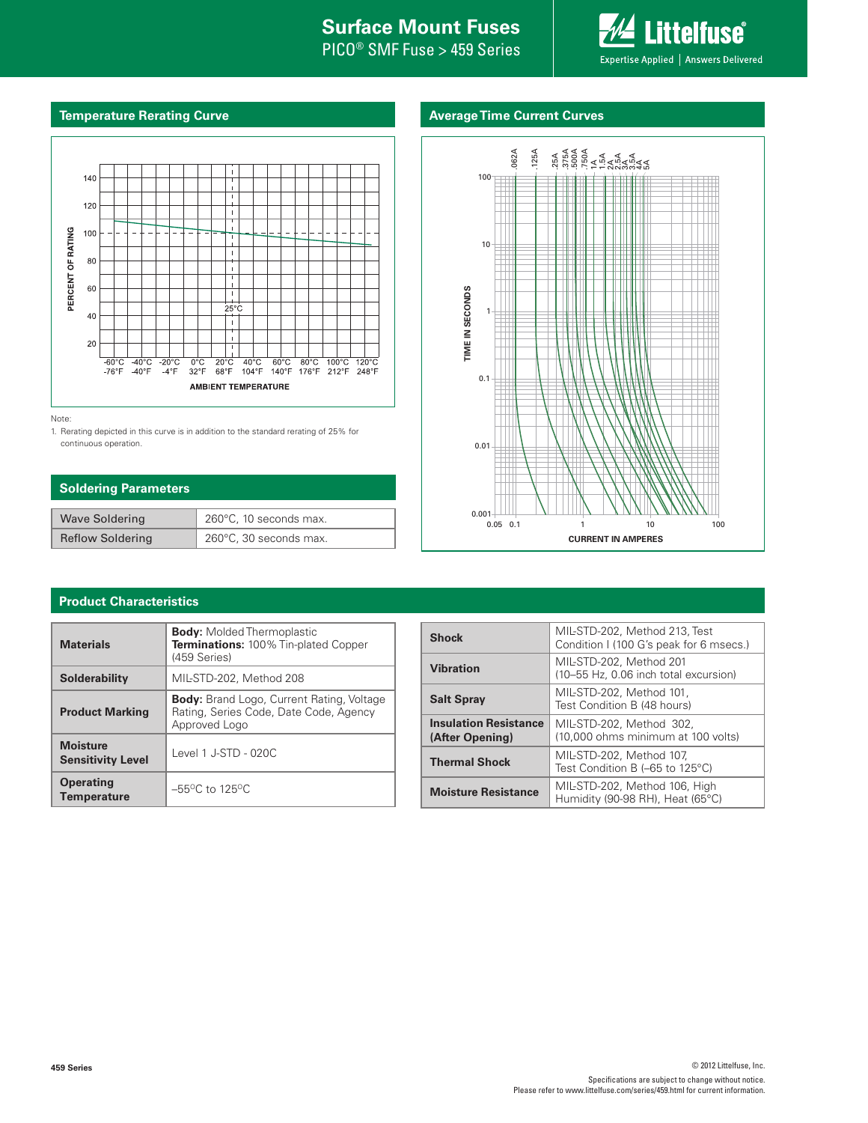# **Internal Surface Mount Fuses**

PICO® SMF Fuse > 459 Series



#### **Temperature Rerating Curve**

# **Average Time Current Curves**



Note:

1. Rerating depicted in this curve is in addition to the standard rerating of 25% for continuous operation.

### **Soldering Parameters**

| <b>Wave Soldering</b>   | 260°C, 10 seconds max. |
|-------------------------|------------------------|
| <b>Reflow Soldering</b> | 260°C, 30 seconds max. |



# **Product Characteristics**

| <b>Materials</b>                            | <b>Body:</b> Molded Thermoplastic<br><b>Terminations: 100% Tin-plated Copper</b><br>(459 Series)            |  |  |
|---------------------------------------------|-------------------------------------------------------------------------------------------------------------|--|--|
| <b>Solderability</b>                        | MIL-STD-202, Method 208                                                                                     |  |  |
| <b>Product Marking</b>                      | <b>Body:</b> Brand Logo, Current Rating, Voltage<br>Rating, Series Code, Date Code, Agency<br>Approved Logo |  |  |
| <b>Moisture</b><br><b>Sensitivity Level</b> | Level 1 J-STD - 020C                                                                                        |  |  |
| <b>Operating</b><br><b>Temperature</b>      | $-55^{\circ}$ C to 125 $^{\circ}$ C                                                                         |  |  |

| <b>Shock</b>                                                                 | MIL-STD-202, Method 213, Test<br>Condition I (100 G's peak for 6 msecs.) |  |  |
|------------------------------------------------------------------------------|--------------------------------------------------------------------------|--|--|
| <b>Vibration</b>                                                             | MIL-STD-202, Method 201<br>(10-55 Hz, 0.06 inch total excursion)         |  |  |
| MIL-STD-202. Method 101.<br><b>Salt Spray</b><br>Test Condition B (48 hours) |                                                                          |  |  |
| <b>Insulation Resistance</b><br>(After Opening)                              | MIL-STD-202, Method 302,<br>(10,000 ohms minimum at 100 volts)           |  |  |
| <b>Thermal Shock</b>                                                         | MIL-STD-202, Method 107,<br>Test Condition B (-65 to 125°C)              |  |  |
| <b>Moisture Resistance</b>                                                   | MIL-STD-202, Method 106, High<br>Humidity (90-98 RH), Heat (65°C)        |  |  |